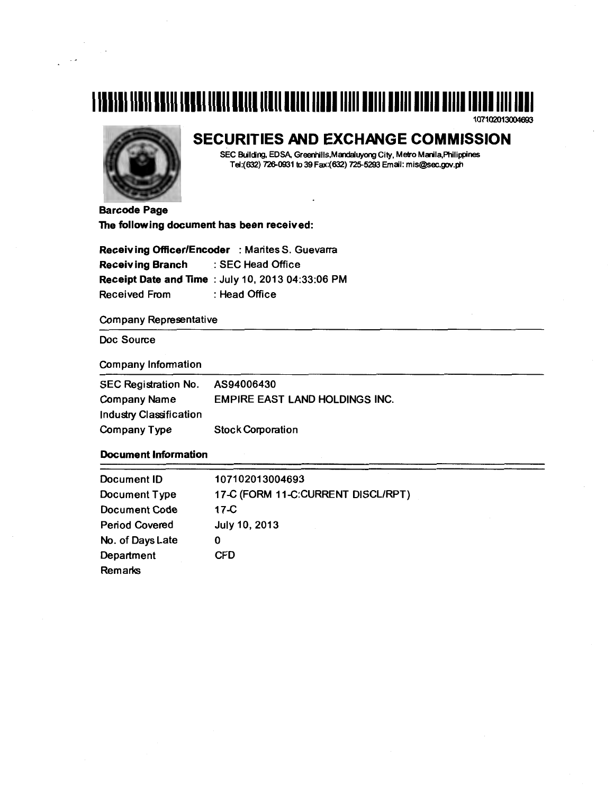# 11101111 11111 101111 10001 11111 101110 11111 11111 11110 11111 10111 10111 11111 11111 11110 11111 1111 1111

107102013004693



## **SECURITIES AND EXCHANGE COMMISSION**

SEC Building, EDSA, Greenhills,Mandaluyong City, Metro Manila,Philippines Tel:(632) 726-0931 to 39 Fax:(632) 725-5293 Email: mis@sec.gov.ph

Barcode Page The following document has been received:

Receiving Officer/Encoder : Marites S. Guevarra Receiving Branch : SEC Head Office Receipt Date and Time : July 10, 2013 04:33:06 PM Received From : Head Office

Company Representative

Doc Source

Company Information

| <b>SEC Registration No.</b> | AS94006430                            |
|-----------------------------|---------------------------------------|
| <b>Company Name</b>         | <b>EMPIRE EAST LAND HOLDINGS INC.</b> |
| Industry Classification     |                                       |
| <b>Company Type</b>         | <b>Stock Corporation</b>              |

### Document Information

| Document ID           | 107102013004693                    |
|-----------------------|------------------------------------|
| Document Type         | 17-C (FORM 11-C:CURRENT DISCL/RPT) |
| <b>Document Code</b>  | $17-C$                             |
| <b>Period Covered</b> | July 10, 2013                      |
| No. of Days Late      | 0                                  |
| Department            | <b>CFD</b>                         |
| Remarks               |                                    |